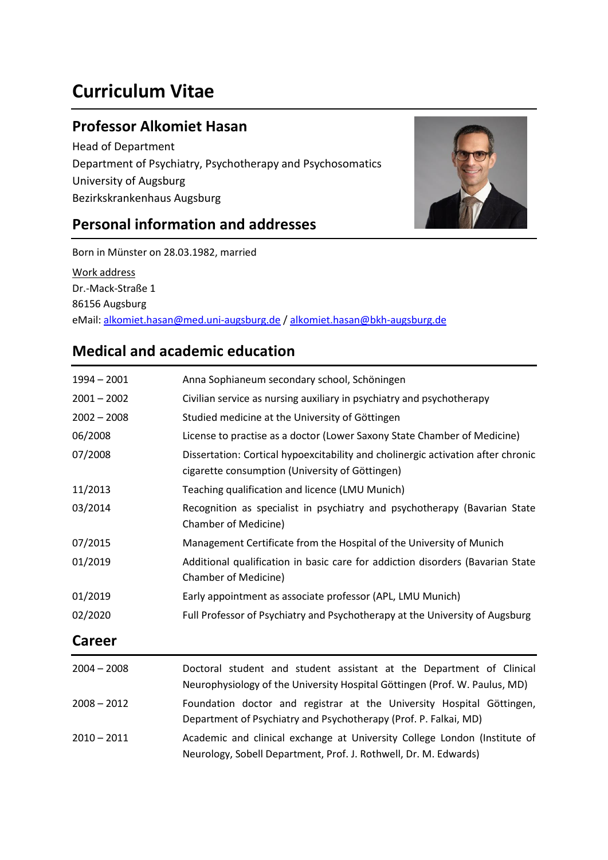# **Curriculum Vitae**

### **Professor Alkomiet Hasan**

Head of Department Department of Psychiatry, Psychotherapy and Psychosomatics University of Augsburg Bezirkskrankenhaus Augsburg

### **Personal information and addresses**



Born in Münster on 28.03.1982, married

Work address Dr.-Mack-Straße 1 86156 Augsburg eMail[: alkomiet.hasan@med.uni-augsburg.de](mailto:alkomiet.hasan@med.uni-augsburg.de) / [alkomiet.hasan@bkh-augsburg.de](mailto:alkomiet.hasan@bkh-augsburg.de)

### **Medical and academic education**

| $1994 - 2001$ | Anna Sophianeum secondary school, Schöningen                                                                                                       |
|---------------|----------------------------------------------------------------------------------------------------------------------------------------------------|
| $2001 - 2002$ | Civilian service as nursing auxiliary in psychiatry and psychotherapy                                                                              |
| $2002 - 2008$ | Studied medicine at the University of Göttingen                                                                                                    |
| 06/2008       | License to practise as a doctor (Lower Saxony State Chamber of Medicine)                                                                           |
| 07/2008       | Dissertation: Cortical hypoexcitability and cholinergic activation after chronic<br>cigarette consumption (University of Göttingen)                |
| 11/2013       | Teaching qualification and licence (LMU Munich)                                                                                                    |
| 03/2014       | Recognition as specialist in psychiatry and psychotherapy (Bavarian State<br>Chamber of Medicine)                                                  |
| 07/2015       | Management Certificate from the Hospital of the University of Munich                                                                               |
| 01/2019       | Additional qualification in basic care for addiction disorders (Bavarian State<br><b>Chamber of Medicine)</b>                                      |
| 01/2019       | Early appointment as associate professor (APL, LMU Munich)                                                                                         |
| 02/2020       | Full Professor of Psychiatry and Psychotherapy at the University of Augsburg                                                                       |
| <b>Career</b> |                                                                                                                                                    |
| $2004 - 2008$ | Doctoral student and student assistant at the Department of Clinical<br>Neurophysiology of the University Hospital Göttingen (Prof. W. Paulus, MD) |
| $2008 - 2012$ | Foundation doctor and registrar at the University Hospital Göttingen,<br>Department of Psychiatry and Psychotherapy (Prof. P. Falkai, MD)          |
| $2010 - 2011$ | Academic and clinical exchange at University College London (Institute of<br>Neurology, Sobell Department, Prof. J. Rothwell, Dr. M. Edwards)      |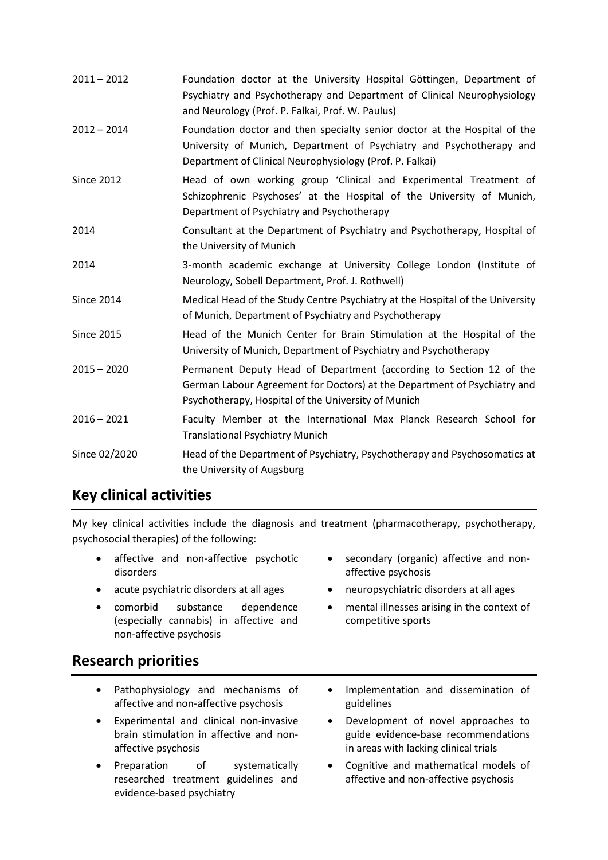| $2011 - 2012$     | Foundation doctor at the University Hospital Göttingen, Department of<br>Psychiatry and Psychotherapy and Department of Clinical Neurophysiology<br>and Neurology (Prof. P. Falkai, Prof. W. Paulus)          |
|-------------------|---------------------------------------------------------------------------------------------------------------------------------------------------------------------------------------------------------------|
| $2012 - 2014$     | Foundation doctor and then specialty senior doctor at the Hospital of the<br>University of Munich, Department of Psychiatry and Psychotherapy and<br>Department of Clinical Neurophysiology (Prof. P. Falkai) |
| <b>Since 2012</b> | Head of own working group 'Clinical and Experimental Treatment of<br>Schizophrenic Psychoses' at the Hospital of the University of Munich,<br>Department of Psychiatry and Psychotherapy                      |
| 2014              | Consultant at the Department of Psychiatry and Psychotherapy, Hospital of<br>the University of Munich                                                                                                         |
| 2014              | 3-month academic exchange at University College London (Institute of<br>Neurology, Sobell Department, Prof. J. Rothwell)                                                                                      |
| <b>Since 2014</b> | Medical Head of the Study Centre Psychiatry at the Hospital of the University<br>of Munich, Department of Psychiatry and Psychotherapy                                                                        |
| <b>Since 2015</b> | Head of the Munich Center for Brain Stimulation at the Hospital of the<br>University of Munich, Department of Psychiatry and Psychotherapy                                                                    |
| $2015 - 2020$     | Permanent Deputy Head of Department (according to Section 12 of the<br>German Labour Agreement for Doctors) at the Department of Psychiatry and<br>Psychotherapy, Hospital of the University of Munich        |
| $2016 - 2021$     | Faculty Member at the International Max Planck Research School for<br><b>Translational Psychiatry Munich</b>                                                                                                  |
| Since 02/2020     | Head of the Department of Psychiatry, Psychotherapy and Psychosomatics at<br>the University of Augsburg                                                                                                       |

### **Key clinical activities**

My key clinical activities include the diagnosis and treatment (pharmacotherapy, psychotherapy, psychosocial therapies) of the following:

- affective and non-affective psychotic disorders
- 
- comorbid substance dependence (especially cannabis) in affective and non-affective psychosis
- secondary (organic) affective and nonaffective psychosis
- acute psychiatric disorders at all ages **•** neuropsychiatric disorders at all ages
	- mental illnesses arising in the context of competitive sports

### **Research priorities**

- Pathophysiology and mechanisms of affective and non-affective psychosis
- Experimental and clinical non-invasive brain stimulation in affective and nonaffective psychosis
- Preparation of systematically researched treatment guidelines and evidence-based psychiatry
- Implementation and dissemination of guidelines
- Development of novel approaches to guide evidence-base recommendations in areas with lacking clinical trials
- Cognitive and mathematical models of affective and non-affective psychosis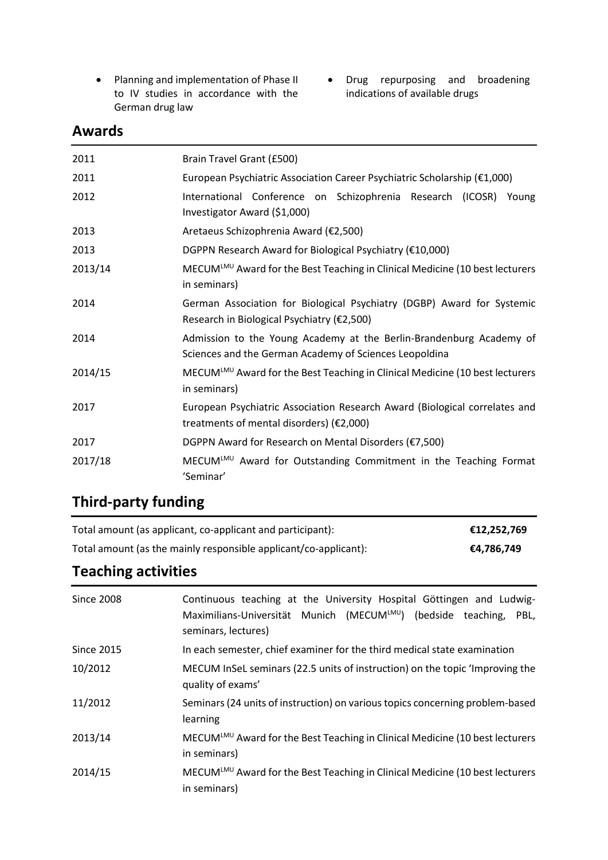- Planning and implementation of Phase II to IV studies in accordance with the German drug law
- Drug repurposing and broadening indications of available drugs

### **Awards**

| 2011    | Brain Travel Grant (£500)                                                                                                     |  |  |  |  |  |  |
|---------|-------------------------------------------------------------------------------------------------------------------------------|--|--|--|--|--|--|
| 2011    | European Psychiatric Association Career Psychiatric Scholarship (€1,000)                                                      |  |  |  |  |  |  |
| 2012    | International Conference on Schizophrenia Research (ICOSR) Young<br>Investigator Award (\$1,000)                              |  |  |  |  |  |  |
| 2013    | Aretaeus Schizophrenia Award (€2,500)                                                                                         |  |  |  |  |  |  |
| 2013    | DGPPN Research Award for Biological Psychiatry (€10,000)                                                                      |  |  |  |  |  |  |
| 2013/14 | MECUMLMU Award for the Best Teaching in Clinical Medicine (10 best lecturers<br>in seminars)                                  |  |  |  |  |  |  |
| 2014    | German Association for Biological Psychiatry (DGBP) Award for Systemic<br>Research in Biological Psychiatry (€2,500)          |  |  |  |  |  |  |
| 2014    | Admission to the Young Academy at the Berlin-Brandenburg Academy of<br>Sciences and the German Academy of Sciences Leopoldina |  |  |  |  |  |  |
| 2014/15 | MECUM <sup>LMU</sup> Award for the Best Teaching in Clinical Medicine (10 best lecturers<br>in seminars)                      |  |  |  |  |  |  |
| 2017    | European Psychiatric Association Research Award (Biological correlates and<br>treatments of mental disorders) (€2,000)        |  |  |  |  |  |  |
| 2017    | DGPPN Award for Research on Mental Disorders (€7,500)                                                                         |  |  |  |  |  |  |
| 2017/18 | MECUMLMU Award for Outstanding Commitment in the Teaching Format<br>'Seminar'                                                 |  |  |  |  |  |  |

## **Third-party funding**

| Total amount (as applicant, co-applicant and participant):       | €12,252,769 |
|------------------------------------------------------------------|-------------|
| Total amount (as the mainly responsible applicant/co-applicant): | €4,786,749  |

## **Teaching activities**

| <b>Since 2008</b> | Continuous teaching at the University Hospital Göttingen and Ludwig-<br>Maximilians-Universität Munich (MECUMLMU) (bedside teaching,<br>PBL,<br>seminars, lectures) |
|-------------------|---------------------------------------------------------------------------------------------------------------------------------------------------------------------|
| <b>Since 2015</b> | In each semester, chief examiner for the third medical state examination                                                                                            |
| 10/2012           | MECUM InSeL seminars (22.5 units of instruction) on the topic 'Improving the<br>quality of exams'                                                                   |
| 11/2012           | Seminars (24 units of instruction) on various topics concerning problem-based<br>learning                                                                           |
| 2013/14           | MECUM <sup>LMU</sup> Award for the Best Teaching in Clinical Medicine (10 best lecturers<br>in seminars)                                                            |
| 2014/15           | MECUMLMU Award for the Best Teaching in Clinical Medicine (10 best lecturers<br>in seminars)                                                                        |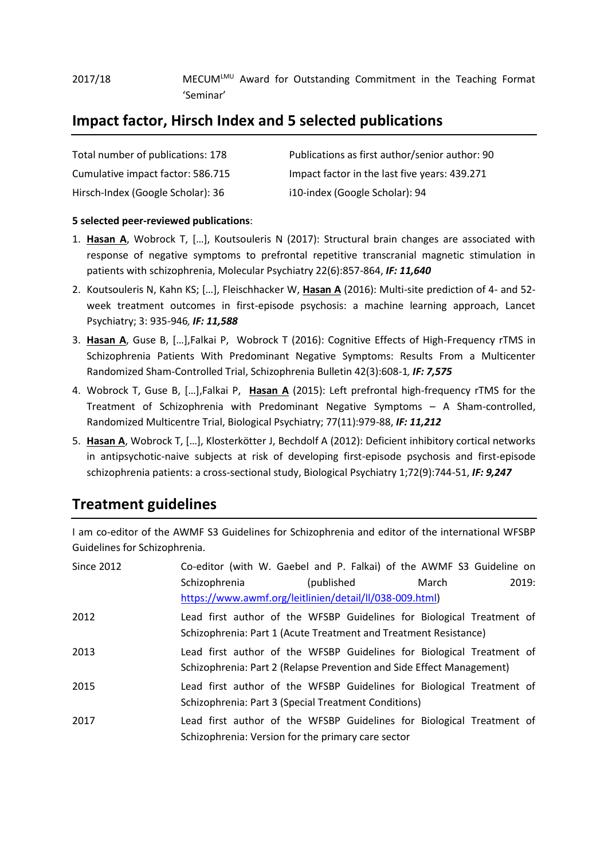#### 2017/18 MECUM<sup>LMU</sup> Award for Outstanding Commitment in the Teaching Format 'Seminar'

### **Impact factor, Hirsch Index and 5 selected publications**

| Total number of publications: 178 | Publications as first author/senior author: 90 |
|-----------------------------------|------------------------------------------------|
| Cumulative impact factor: 586.715 | Impact factor in the last five years: 439.271  |
| Hirsch-Index (Google Scholar): 36 | i10-index (Google Scholar): 94                 |

#### **5 selected peer-reviewed publications**:

- 1. **Hasan A**, Wobrock T, […], Koutsouleris N (2017): Structural brain changes are associated with response of negative symptoms to prefrontal repetitive transcranial magnetic stimulation in patients with schizophrenia, Molecular Psychiatry 22(6):857-864, *IF: 11,640*
- 2. Koutsouleris N, Kahn KS; […], Fleischhacker W, **Hasan A** (2016): Multi-site prediction of 4- and 52 week treatment outcomes in first-episode psychosis: a machine learning approach, Lancet Psychiatry; 3: 935-946*, IF: 11,588*
- 3. **Hasan A**, Guse B, […],Falkai P, Wobrock T (2016): Cognitive Effects of High-Frequency rTMS in Schizophrenia Patients With Predominant Negative Symptoms: Results From a Multicenter Randomized Sham-Controlled Trial, Schizophrenia Bulletin 42(3):608-1*, IF: 7,575*
- 4. Wobrock T, Guse B, […],Falkai P, **Hasan A** (2015): Left prefrontal high-frequency rTMS for the Treatment of Schizophrenia with Predominant Negative Symptoms – A Sham-controlled, Randomized Multicentre Trial, Biological Psychiatry; 77(11):979-88, *IF: 11,212*
- 5. **Hasan A**, Wobrock T, […], Klosterkötter J, Bechdolf A (2012): Deficient inhibitory cortical networks in antipsychotic-naive subjects at risk of developing first-episode psychosis and first-episode schizophrenia patients: a cross-sectional study, Biological Psychiatry 1;72(9):744-51, *IF: 9,247*

### **Treatment guidelines**

I am co-editor of the AWMF S3 Guidelines for Schizophrenia and editor of the international WFSBP Guidelines for Schizophrenia.

|  |               |  |             |                                                    | 2019:                                                                                                                    |                                                                                                                                                                                                                                                                                                                                                                                                                                                                                                                       |
|--|---------------|--|-------------|----------------------------------------------------|--------------------------------------------------------------------------------------------------------------------------|-----------------------------------------------------------------------------------------------------------------------------------------------------------------------------------------------------------------------------------------------------------------------------------------------------------------------------------------------------------------------------------------------------------------------------------------------------------------------------------------------------------------------|
|  |               |  |             |                                                    |                                                                                                                          |                                                                                                                                                                                                                                                                                                                                                                                                                                                                                                                       |
|  |               |  |             |                                                    |                                                                                                                          |                                                                                                                                                                                                                                                                                                                                                                                                                                                                                                                       |
|  |               |  |             |                                                    |                                                                                                                          |                                                                                                                                                                                                                                                                                                                                                                                                                                                                                                                       |
|  |               |  |             |                                                    |                                                                                                                          |                                                                                                                                                                                                                                                                                                                                                                                                                                                                                                                       |
|  |               |  |             |                                                    |                                                                                                                          |                                                                                                                                                                                                                                                                                                                                                                                                                                                                                                                       |
|  |               |  |             |                                                    |                                                                                                                          |                                                                                                                                                                                                                                                                                                                                                                                                                                                                                                                       |
|  |               |  |             |                                                    |                                                                                                                          |                                                                                                                                                                                                                                                                                                                                                                                                                                                                                                                       |
|  |               |  |             |                                                    |                                                                                                                          |                                                                                                                                                                                                                                                                                                                                                                                                                                                                                                                       |
|  |               |  |             |                                                    |                                                                                                                          |                                                                                                                                                                                                                                                                                                                                                                                                                                                                                                                       |
|  | Schizophrenia |  | (published) | Schizophrenia: Version for the primary care sector | March<br>https://www.awmf.org/leitlinien/detail/ll/038-009.html)<br>Schizophrenia: Part 3 (Special Treatment Conditions) | Co-editor (with W. Gaebel and P. Falkai) of the AWMF S3 Guideline on<br>Lead first author of the WFSBP Guidelines for Biological Treatment of<br>Schizophrenia: Part 1 (Acute Treatment and Treatment Resistance)<br>Lead first author of the WFSBP Guidelines for Biological Treatment of<br>Schizophrenia: Part 2 (Relapse Prevention and Side Effect Management)<br>Lead first author of the WFSBP Guidelines for Biological Treatment of<br>Lead first author of the WFSBP Guidelines for Biological Treatment of |